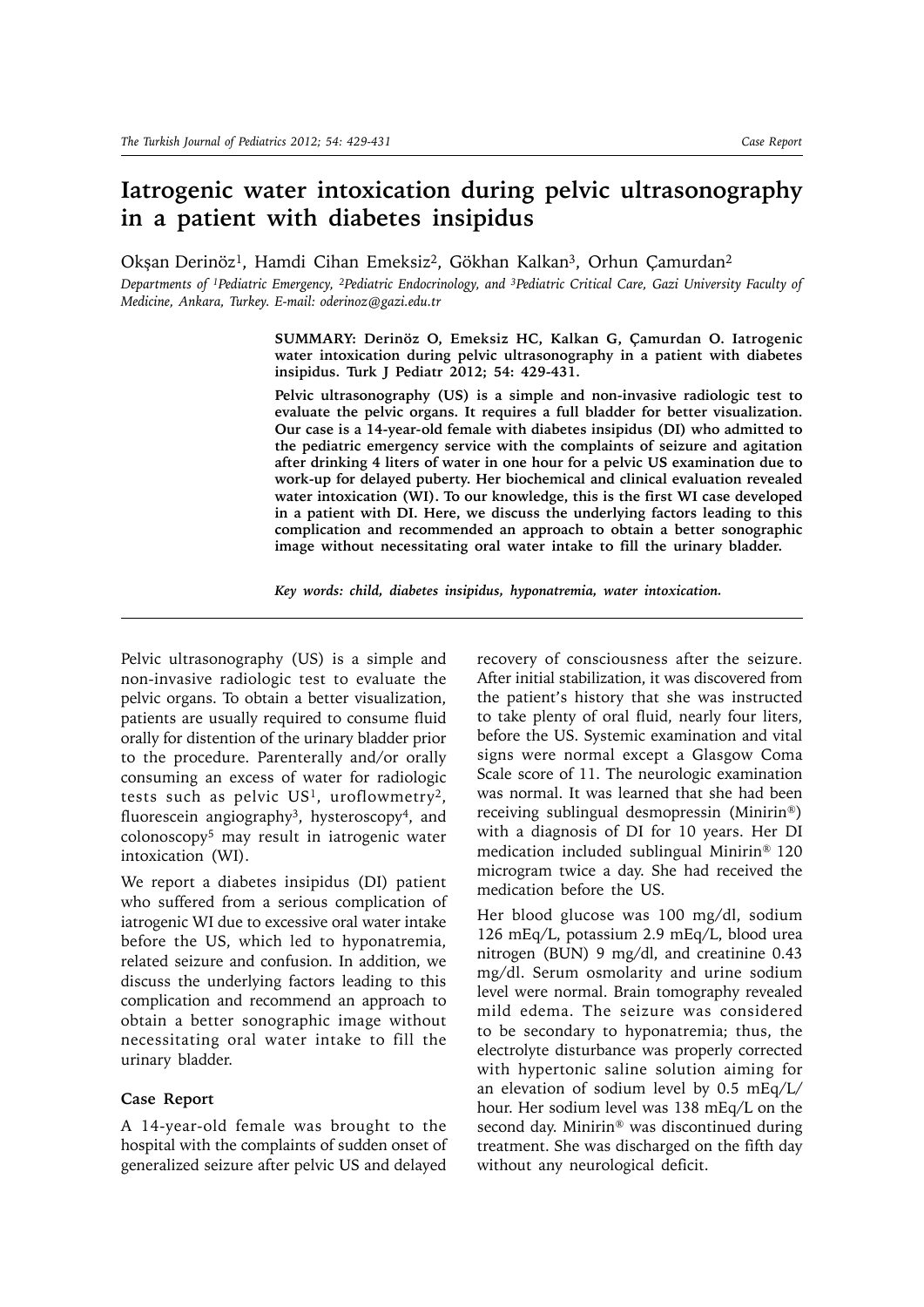## **Iatrogenic water intoxication during pelvic ultrasonography in a patient with diabetes insipidus**

Okşan Derinöz<sup>1</sup>, Hamdi Cihan Emeksiz<sup>2</sup>, Gökhan Kalkan<sup>3</sup>, Orhun Çamurdan<sup>2</sup>

*Departments of 1Pediatric Emergency, 2Pediatric Endocrinology, and 3Pediatric Critical Care, Gazi University Faculty of Medicine, Ankara, Turkey. E-mail: oderinoz@gazi.edu.tr*

> **SUMMARY: Derinöz O, Emeksiz HC, Kalkan G, Çamurdan O. Iatrogenic water intoxication during pelvic ultrasonography in a patient with diabetes insipidus. Turk J Pediatr 2012; 54: 429-431.**

> **Pelvic ultrasonography (US) is a simple and non-invasive radiologic test to evaluate the pelvic organs. It requires a full bladder for better visualization. Our case is a 14-year-old female with diabetes insipidus (DI) who admitted to the pediatric emergency service with the complaints of seizure and agitation after drinking 4 liters of water in one hour for a pelvic US examination due to work-up for delayed puberty. Her biochemical and clinical evaluation revealed water intoxication (WI). To our knowledge, this is the first WI case developed in a patient with DI. Here, we discuss the underlying factors leading to this complication and recommended an approach to obtain a better sonographic image without necessitating oral water intake to fill the urinary bladder.**

*Key words: child, diabetes insipidus, hyponatremia, water intoxication.* 

Pelvic ultrasonography (US) is a simple and non-invasive radiologic test to evaluate the pelvic organs. To obtain a better visualization, patients are usually required to consume fluid orally for distention of the urinary bladder prior to the procedure. Parenterally and/or orally consuming an excess of water for radiologic tests such as pelvic  $US<sup>1</sup>$ , uroflowmetry<sup>2</sup>, fluorescein angiography<sup>3</sup>, hysteroscopy<sup>4</sup>, and colonoscopy5 may result in iatrogenic water intoxication (WI).

We report a diabetes insipidus (DI) patient who suffered from a serious complication of iatrogenic WI due to excessive oral water intake before the US, which led to hyponatremia, related seizure and confusion. In addition, we discuss the underlying factors leading to this complication and recommend an approach to obtain a better sonographic image without necessitating oral water intake to fill the urinary bladder.

## **Case Report**

A 14-year-old female was brought to the hospital with the complaints of sudden onset of generalized seizure after pelvic US and delayed recovery of consciousness after the seizure. After initial stabilization, it was discovered from the patient's history that she was instructed to take plenty of oral fluid, nearly four liters, before the US. Systemic examination and vital signs were normal except a Glasgow Coma Scale score of 11. The neurologic examination was normal. It was learned that she had been receiving sublingual desmopressin (Minirin®) with a diagnosis of DI for 10 years. Her DI medication included sublingual Minirin® 120 microgram twice a day. She had received the medication before the US.

Her blood glucose was 100 mg/dl, sodium 126 mEq/L, potassium 2.9 mEq/L, blood urea nitrogen (BUN) 9 mg/dl, and creatinine 0.43 mg/dl. Serum osmolarity and urine sodium level were normal. Brain tomography revealed mild edema. The seizure was considered to be secondary to hyponatremia; thus, the electrolyte disturbance was properly corrected with hypertonic saline solution aiming for an elevation of sodium level by 0.5 mEq/L/ hour. Her sodium level was 138 mEq/L on the second day. Minirin® was discontinued during treatment. She was discharged on the fifth day without any neurological deficit.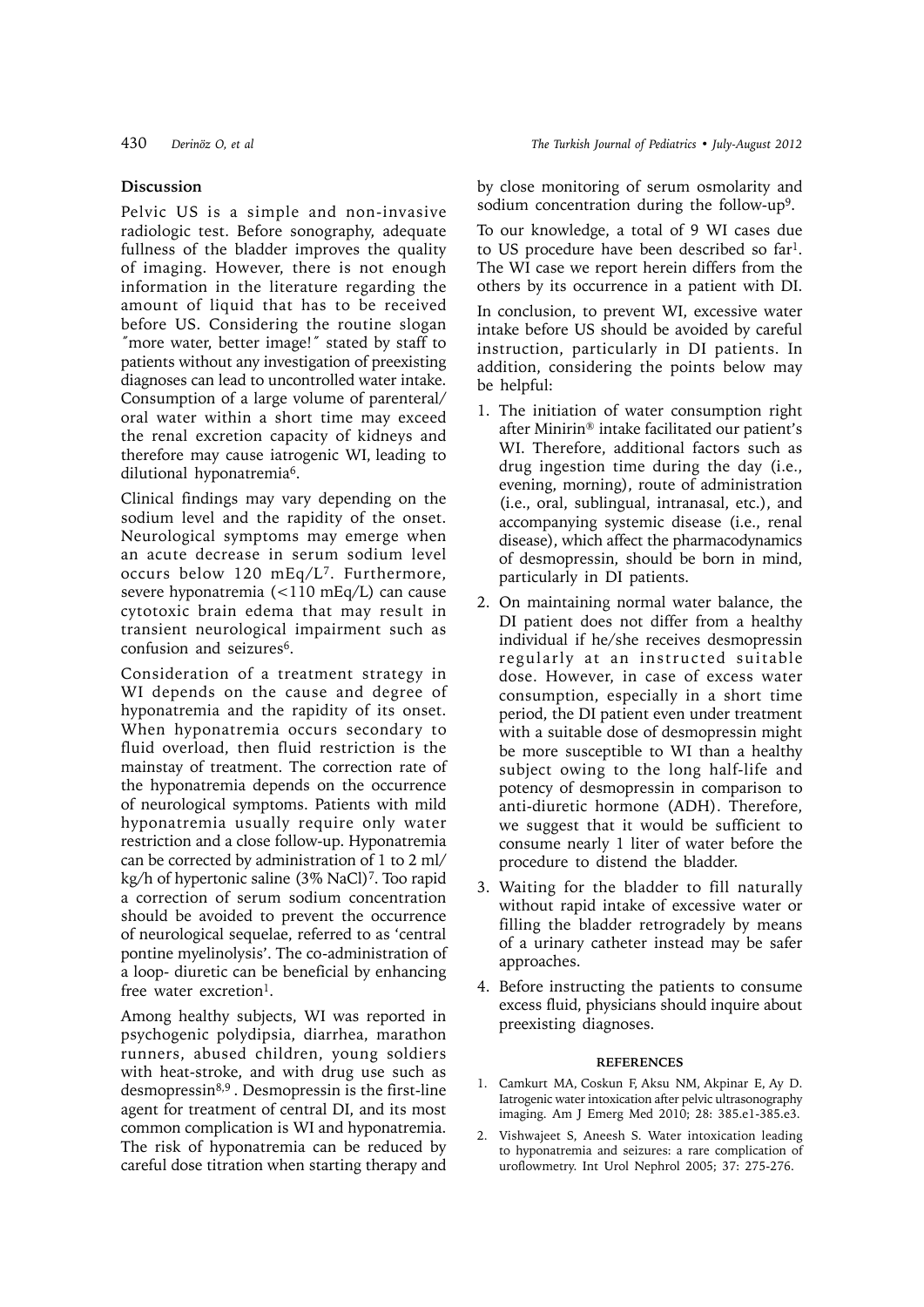## **Discussion**

Pelvic US is a simple and non-invasive radiologic test. Before sonography, adequate fullness of the bladder improves the quality of imaging. However, there is not enough information in the literature regarding the amount of liquid that has to be received before US. Considering the routine slogan ˝more water, better image!˝ stated by staff to patients without any investigation of preexisting diagnoses can lead to uncontrolled water intake. Consumption of a large volume of parenteral/ oral water within a short time may exceed the renal excretion capacity of kidneys and therefore may cause iatrogenic WI, leading to dilutional hyponatremia6.

Clinical findings may vary depending on the sodium level and the rapidity of the onset. Neurological symptoms may emerge when an acute decrease in serum sodium level occurs below 120 mEq/L7. Furthermore, severe hyponatremia (<110 mEq/L) can cause cytotoxic brain edema that may result in transient neurological impairment such as confusion and seizures6.

Consideration of a treatment strategy in WI depends on the cause and degree of hyponatremia and the rapidity of its onset. When hyponatremia occurs secondary to fluid overload, then fluid restriction is the mainstay of treatment. The correction rate of the hyponatremia depends on the occurrence of neurological symptoms. Patients with mild hyponatremia usually require only water restriction and a close follow-up. Hyponatremia can be corrected by administration of 1 to 2 ml/ kg/h of hypertonic saline (3% NaCl)7. Too rapid a correction of serum sodium concentration should be avoided to prevent the occurrence of neurological sequelae, referred to as 'central pontine myelinolysis'. The co-administration of a loop- diuretic can be beneficial by enhancing free water excretion<sup>1</sup>.

Among healthy subjects, WI was reported in psychogenic polydipsia, diarrhea, marathon runners, abused children, young soldiers with heat-stroke, and with drug use such as desmopressin8,9 . Desmopressin is the first-line agent for treatment of central DI, and its most common complication is WI and hyponatremia. The risk of hyponatremia can be reduced by careful dose titration when starting therapy and

by close monitoring of serum osmolarity and sodium concentration during the follow-up<sup>9</sup>.

To our knowledge, a total of 9 WI cases due to US procedure have been described so far1. The WI case we report herein differs from the others by its occurrence in a patient with DI. In conclusion, to prevent WI, excessive water intake before US should be avoided by careful instruction, particularly in DI patients. In addition, considering the points below may be helpful:

- 1. The initiation of water consumption right after Minirin® intake facilitated our patient's WI. Therefore, additional factors such as drug ingestion time during the day (i.e., evening, morning), route of administration (i.e., oral, sublingual, intranasal, etc.), and accompanying systemic disease (i.e., renal disease), which affect the pharmacodynamics of desmopressin, should be born in mind, particularly in DI patients.
- 2. On maintaining normal water balance, the DI patient does not differ from a healthy individual if he/she receives desmopressin regularly at an instructed suitable dose. However, in case of excess water consumption, especially in a short time period, the DI patient even under treatment with a suitable dose of desmopressin might be more susceptible to WI than a healthy subject owing to the long half-life and potency of desmopressin in comparison to anti-diuretic hormone (ADH). Therefore, we suggest that it would be sufficient to consume nearly 1 liter of water before the procedure to distend the bladder.
- 3. Waiting for the bladder to fill naturally without rapid intake of excessive water or filling the bladder retrogradely by means of a urinary catheter instead may be safer approaches.
- 4. Before instructing the patients to consume excess fluid, physicians should inquire about preexisting diagnoses.

## **REFERENCES**

- 1. Camkurt MA, Coskun F, Aksu NM, Akpinar E, Ay D. Iatrogenic water intoxication after pelvic ultrasonography imaging. Am J Emerg Med 2010; 28: 385.e1-385.e3.
- 2. Vishwajeet S, Aneesh S. Water intoxication leading to hyponatremia and seizures: a rare complication of uroflowmetry. Int Urol Nephrol 2005; 37: 275-276.